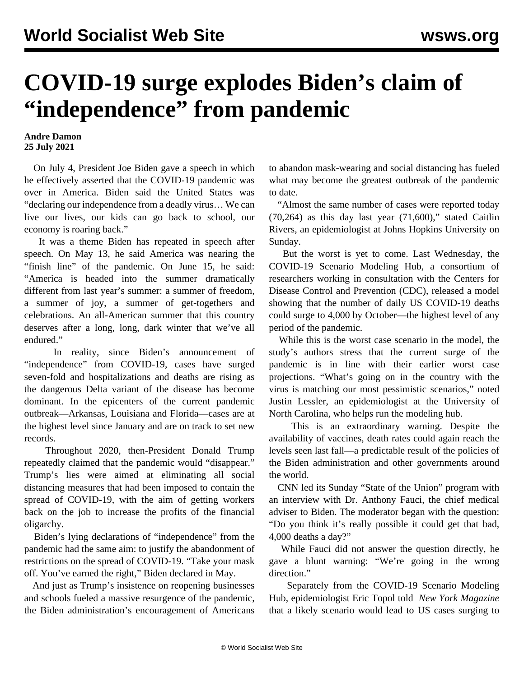## **COVID-19 surge explodes Biden's claim of "independence" from pandemic**

## **Andre Damon 25 July 2021**

 On July 4, President Joe Biden gave a speech in which he effectively asserted that the COVID-19 pandemic was over in America. Biden said the United States was "declaring our independence from a deadly virus… We can live our lives, our kids can go back to school, our economy is roaring back."

 It was a theme Biden has repeated in speech after speech. On May 13, he said America was nearing the "finish line" of the pandemic. On June 15, he said: "America is headed into the summer dramatically different from last year's summer: a summer of freedom, a summer of joy, a summer of get-togethers and celebrations. An all-American summer that this country deserves after a long, long, dark winter that we've all endured."

 In reality, since Biden's announcement of "independence" from COVID-19, cases have surged seven-fold and hospitalizations and deaths are rising as the dangerous Delta variant of the disease has become dominant. In the epicenters of the current pandemic outbreak—Arkansas, Louisiana and Florida—cases are at the highest level since January and are on track to set new records.

 Throughout 2020, then-President Donald Trump repeatedly claimed that the pandemic would "disappear." Trump's lies were aimed at eliminating all social distancing measures that had been imposed to contain the spread of COVID-19, with the aim of getting workers back on the job to increase the profits of the financial oligarchy.

 Biden's lying declarations of "independence" from the pandemic had the same aim: to justify the abandonment of restrictions on the spread of COVID-19. "Take your mask off. You've earned the right," Biden declared in May.

 And just as Trump's insistence on reopening businesses and schools fueled a massive resurgence of the pandemic, the Biden administration's encouragement of Americans

to abandon mask-wearing and social distancing has fueled what may become the greatest outbreak of the pandemic to date.

 "Almost the same number of cases were reported today  $(70,264)$  as this day last year  $(71,600)$ ," stated Caitlin Rivers, an epidemiologist at Johns Hopkins University on Sunday.

 But the worst is yet to come. Last Wednesday, the COVID-19 Scenario Modeling Hub, a consortium of researchers working in consultation with the Centers for Disease Control and Prevention (CDC), released a model showing that the number of daily US COVID-19 deaths could surge to 4,000 by October—the highest level of any period of the pandemic.

 While this is the worst case scenario in the model, the study's authors stress that the current surge of the pandemic is in line with their earlier worst case projections. "What's going on in the country with the virus is matching our most pessimistic scenarios," noted Justin Lessler, an epidemiologist at the University of North Carolina, who helps run the modeling hub.

 This is an extraordinary warning. Despite the availability of vaccines, death rates could again reach the levels seen last fall—a predictable result of the policies of the Biden administration and other governments around the world.

 CNN led its Sunday "State of the Union" program with an interview with Dr. Anthony Fauci, the chief medical adviser to Biden. The moderator began with the question: "Do you think it's really possible it could get that bad, 4,000 deaths a day?"

 While Fauci did not answer the question directly, he gave a blunt warning: "We're going in the wrong direction."

 Separately from the COVID-19 Scenario Modeling Hub, epidemiologist Eric Topol told *[New York Magazine](https://nymag.com/intelligencer/2021/07/how-bad-could-the-delta-variant-get.html)* that a likely scenario would lead to US cases surging to